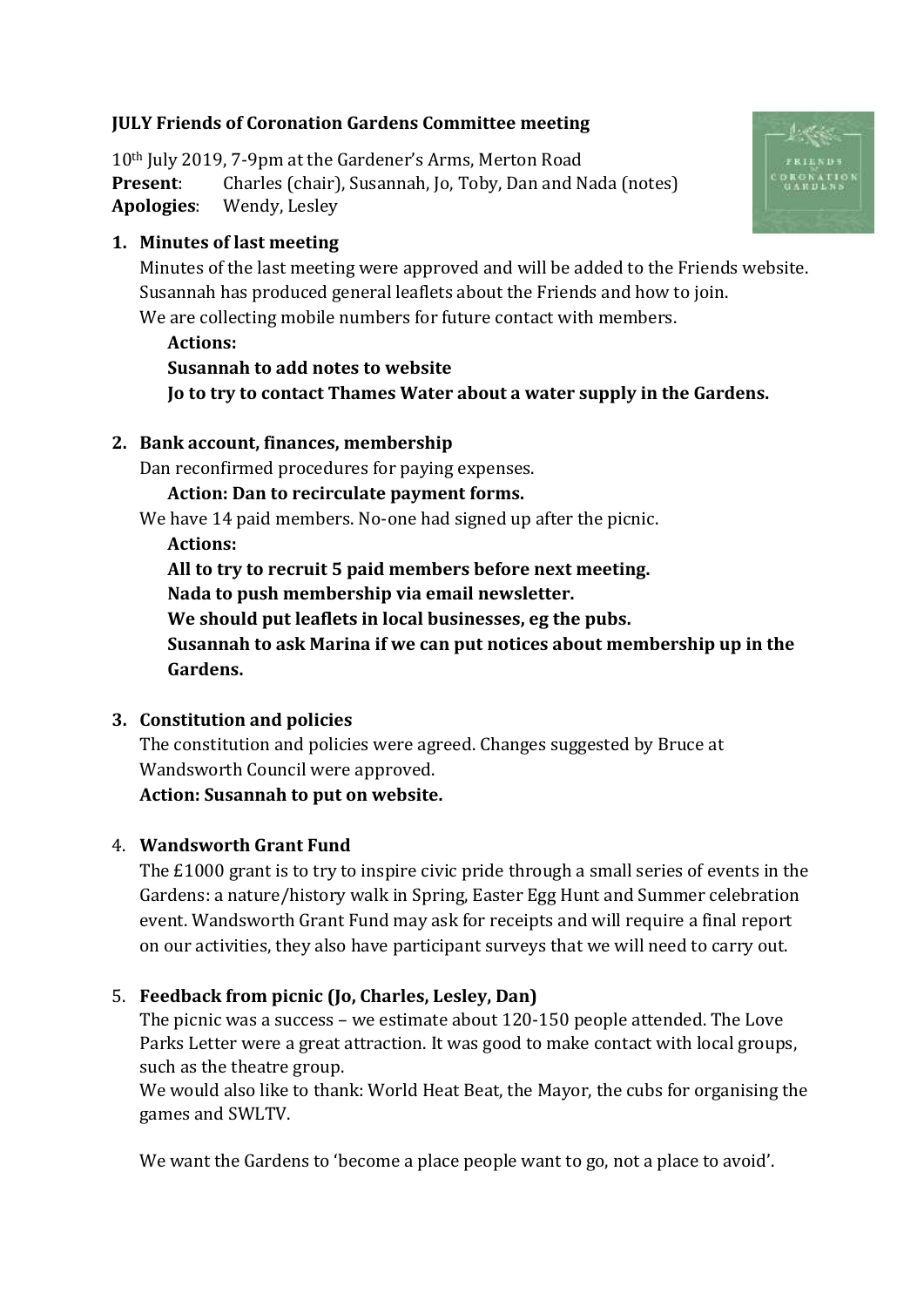# **JULY Friends of Coronation Gardens Committee meeting**

10th July 2019, 7-9pm at the Gardener's Arms, Merton Road **Present**: Charles (chair), Susannah, Jo, Toby, Dan and Nada (notes) **Apologies**: Wendy, Lesley

## **1. Minutes of last meeting**

Minutes of the last meeting were approved and will be added to the Friends website. Susannah has produced general leaflets about the Friends and how to join. We are collecting mobile numbers for future contact with members.

#### **Actions:**

**Susannah to add notes to website Jo to try to contact Thames Water about a water supply in the Gardens.**

### **2. Bank account, finances, membership**

Dan reconfirmed procedures for paying expenses.

**Action: Dan to recirculate payment forms.**

We have 14 paid members. No-one had signed up after the picnic.

**Actions:**

**All to try to recruit 5 paid members before next meeting.**

**Nada to push membership via email newsletter.**

**We should put leaflets in local businesses, eg the pubs.**

**Susannah to ask Marina if we can put notices about membership up in the Gardens.**

### **3. Constitution and policies**

The constitution and policies were agreed. Changes suggested by Bruce at Wandsworth Council were approved.

**Action: Susannah to put on website.**

# 4. **Wandsworth Grant Fund**

The £1000 grant is to try to inspire civic pride through a small series of events in the Gardens: a nature/history walk in Spring, Easter Egg Hunt and Summer celebration event. Wandsworth Grant Fund may ask for receipts and will require a final report on our activities, they also have participant surveys that we will need to carry out.

# 5. **Feedback from picnic (Jo, Charles, Lesley, Dan)**

The picnic was a success – we estimate about 120-150 people attended. The Love Parks Letter were a great attraction. It was good to make contact with local groups, such as the theatre group.

We would also like to thank: World Heat Beat, the Mayor, the cubs for organising the games and SWLTV.

We want the Gardens to 'become a place people want to go, not a place to avoid'.

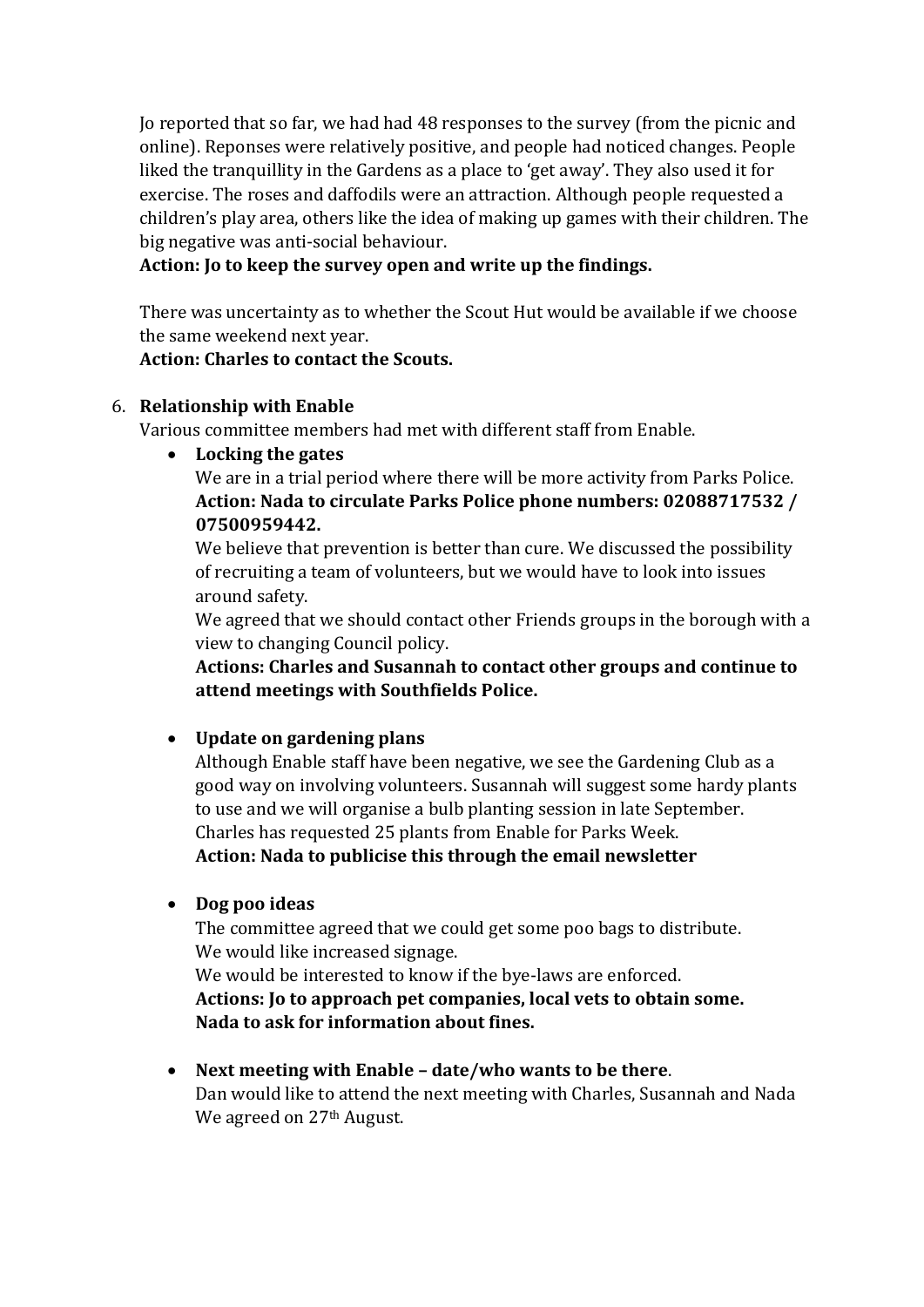Jo reported that so far, we had had 48 responses to the survey (from the picnic and online). Reponses were relatively positive, and people had noticed changes. People liked the tranquillity in the Gardens as a place to 'get away'. They also used it for exercise. The roses and daffodils were an attraction. Although people requested a children's play area, others like the idea of making up games with their children. The big negative was anti-social behaviour.

### **Action: Jo to keep the survey open and write up the findings.**

There was uncertainty as to whether the Scout Hut would be available if we choose the same weekend next year.

### **Action: Charles to contact the Scouts.**

#### 6. **Relationship with Enable**

Various committee members had met with different staff from Enable.

• **Locking the gates**

We are in a trial period where there will be more activity from Parks Police. **Action: Nada to circulate Parks Police phone numbers: 02088717532 / 07500959442.**

We believe that prevention is better than cure. We discussed the possibility of recruiting a team of volunteers, but we would have to look into issues around safety.

We agreed that we should contact other Friends groups in the borough with a view to changing Council policy.

**Actions: Charles and Susannah to contact other groups and continue to attend meetings with Southfields Police.**

### • **Update on gardening plans**

Although Enable staff have been negative, we see the Gardening Club as a good way on involving volunteers. Susannah will suggest some hardy plants to use and we will organise a bulb planting session in late September. Charles has requested 25 plants from Enable for Parks Week. **Action: Nada to publicise this through the email newsletter**

• **Dog poo ideas**

The committee agreed that we could get some poo bags to distribute. We would like increased signage.

We would be interested to know if the bye-laws are enforced.

**Actions: Jo to approach pet companies, local vets to obtain some. Nada to ask for information about fines.**

• **Next meeting with Enable – date/who wants to be there**. Dan would like to attend the next meeting with Charles, Susannah and Nada We agreed on 27<sup>th</sup> August.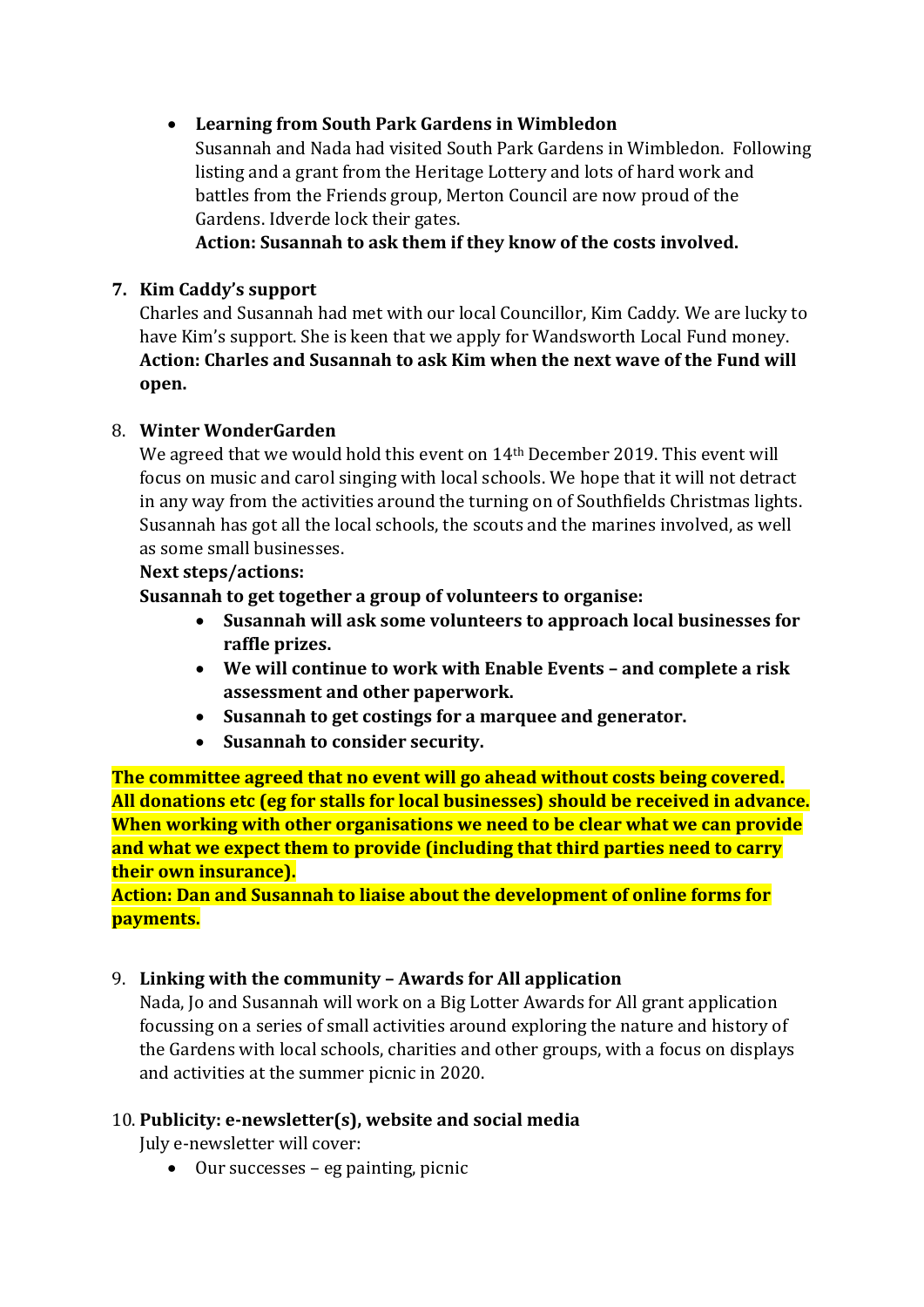## • **Learning from South Park Gardens in Wimbledon**

Susannah and Nada had visited South Park Gardens in Wimbledon. Following listing and a grant from the Heritage Lottery and lots of hard work and battles from the Friends group, Merton Council are now proud of the Gardens. Idverde lock their gates.

**Action: Susannah to ask them if they know of the costs involved.**

# **7. Kim Caddy's support**

Charles and Susannah had met with our local Councillor, Kim Caddy. We are lucky to have Kim's support. She is keen that we apply for Wandsworth Local Fund money. **Action: Charles and Susannah to ask Kim when the next wave of the Fund will open.**

### 8. **Winter WonderGarden**

We agreed that we would hold this event on 14<sup>th</sup> December 2019. This event will focus on music and carol singing with local schools. We hope that it will not detract in any way from the activities around the turning on of Southfields Christmas lights. Susannah has got all the local schools, the scouts and the marines involved, as well as some small businesses.

### **Next steps/actions:**

**Susannah to get together a group of volunteers to organise:**

- **Susannah will ask some volunteers to approach local businesses for raffle prizes.**
- **We will continue to work with Enable Events – and complete a risk assessment and other paperwork.**
- **Susannah to get costings for a marquee and generator.**
- **Susannah to consider security.**

**The committee agreed that no event will go ahead without costs being covered. All donations etc (eg for stalls for local businesses) should be received in advance. When working with other organisations we need to be clear what we can provide and what we expect them to provide (including that third parties need to carry their own insurance).**

**Action: Dan and Susannah to liaise about the development of online forms for payments.**

### 9. **Linking with the community – Awards for All application**

Nada, Jo and Susannah will work on a Big Lotter Awards for All grant application focussing on a series of small activities around exploring the nature and history of the Gardens with local schools, charities and other groups, with a focus on displays and activities at the summer picnic in 2020.

# 10. **Publicity: e-newsletter(s), website and social media**

July e-newsletter will cover:

• Our successes – eg painting, picnic